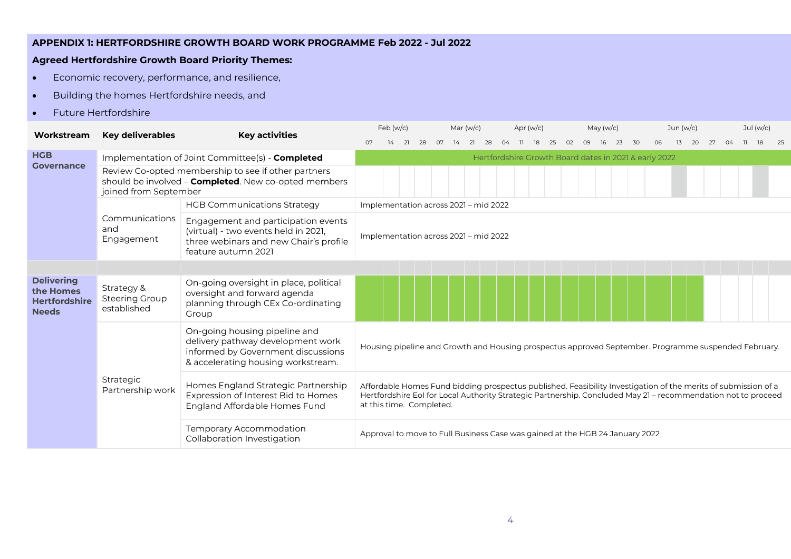## **APPENDIX 1: HERTFORDSHIRE GROWTH BOARD WORK PROGRAMME Feb 2022 - Jul 2022**

## **Agreed Hertfordshire Growth Board Priority Themes:**

- Economic recovery, performance, and resilience,
- Building the homes Hertfordshire needs, and
- Future Hertfordshire

| Workstream                                                             | <b>Key deliverables</b>                            | <b>Key activities</b>                                                                                                                          |                                       | Feb (w/c) |    |    |  | Mar $(w/c)$ |                |  |    |                |    | May $(w/c)$                                                                                                                                                                                                                     |    | Jun $(w/c)$ |  |  |  | Jul $(w/c)$ |      |  |
|------------------------------------------------------------------------|----------------------------------------------------|------------------------------------------------------------------------------------------------------------------------------------------------|---------------------------------------|-----------|----|----|--|-------------|----------------|--|----|----------------|----|---------------------------------------------------------------------------------------------------------------------------------------------------------------------------------------------------------------------------------|----|-------------|--|--|--|-------------|------|--|
|                                                                        |                                                    |                                                                                                                                                | O7                                    |           | 28 | O7 |  | 21<br>28    | O <sub>4</sub> |  | 18 | O <sub>2</sub> | 09 | 23                                                                                                                                                                                                                              | 30 | 06          |  |  |  |             | - 25 |  |
| <b>HGB</b>                                                             |                                                    | Implementation of Joint Committee(s) - Completed                                                                                               |                                       |           |    |    |  |             |                |  |    |                |    | Hertfordshire Growth Board dates in 2021 & early 2022                                                                                                                                                                           |    |             |  |  |  |             |      |  |
| <b>Governance</b>                                                      | joined from September                              | Review Co-opted membership to see if other partners<br>should be involved - <b>Completed</b> . New co-opted members                            |                                       |           |    |    |  |             |                |  |    |                |    |                                                                                                                                                                                                                                 |    |             |  |  |  |             |      |  |
|                                                                        |                                                    | <b>HGB Communications Strategy</b>                                                                                                             | Implementation across 2021 - mid 2022 |           |    |    |  |             |                |  |    |                |    |                                                                                                                                                                                                                                 |    |             |  |  |  |             |      |  |
|                                                                        | Communications<br>and<br>Engagement                | Engagement and participation events<br>(virtual) - two events held in 2021,<br>three webinars and new Chair's profile<br>feature autumn 2021   | Implementation across 2021 - mid 2022 |           |    |    |  |             |                |  |    |                |    |                                                                                                                                                                                                                                 |    |             |  |  |  |             |      |  |
|                                                                        |                                                    |                                                                                                                                                |                                       |           |    |    |  |             |                |  |    |                |    |                                                                                                                                                                                                                                 |    |             |  |  |  |             |      |  |
| <b>Delivering</b><br>the Homes<br><b>Hertfordshire</b><br><b>Needs</b> | Strategy &<br><b>Steering Group</b><br>established | On-going oversight in place, political<br>oversight and forward agenda<br>planning through CEx Co-ordinating<br>Group                          |                                       |           |    |    |  |             |                |  |    |                |    |                                                                                                                                                                                                                                 |    |             |  |  |  |             |      |  |
|                                                                        |                                                    | On-going housing pipeline and<br>delivery pathway development work<br>informed by Government discussions<br>& accelerating housing workstream. |                                       |           |    |    |  |             |                |  |    |                |    | Housing pipeline and Growth and Housing prospectus approved September. Programme suspended February.                                                                                                                            |    |             |  |  |  |             |      |  |
|                                                                        | Strategic<br>Partnership work                      | Homes England Strategic Partnership<br>Expression of Interest Bid to Homes<br>England Affordable Homes Fund                                    | at this time. Completed.              |           |    |    |  |             |                |  |    |                |    | Affordable Homes Fund bidding prospectus published. Feasibility Investigation of the merits of submission of a<br>Hertfordshire EoI for Local Authority Strategic Partnership. Concluded May 21 - recommendation not to proceed |    |             |  |  |  |             |      |  |
| Temporary Accommodation<br>Collaboration Investigation                 |                                                    |                                                                                                                                                |                                       |           |    |    |  |             |                |  |    |                |    | Approval to move to Full Business Case was gained at the HGB 24 January 2022                                                                                                                                                    |    |             |  |  |  |             |      |  |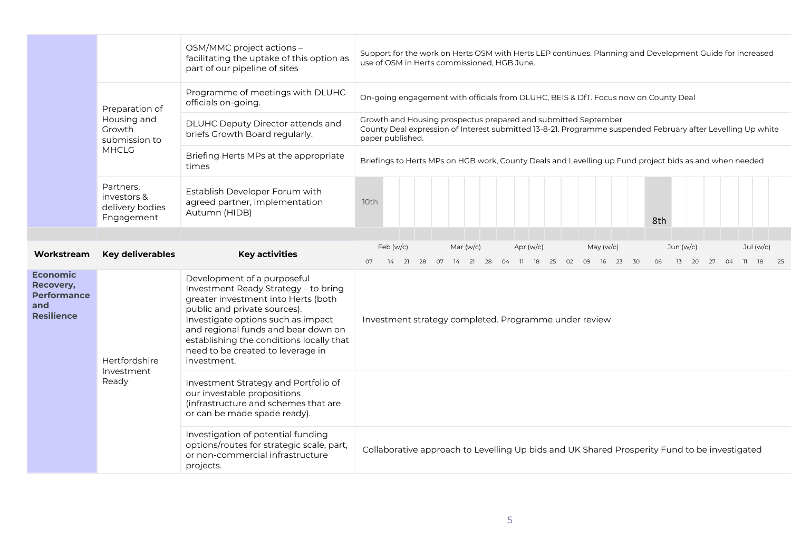|                                                                                |                                                           | OSM/MMC project actions -<br>facilitating the uptake of this option as<br>part of our pipeline of sites                                                                                                                                                                                                                 | Support for the work on Herts OSM with Herts LEP continues. Planning and Development Guide for increased<br>use of OSM in Herts commissioned, HGB June.                                           |
|--------------------------------------------------------------------------------|-----------------------------------------------------------|-------------------------------------------------------------------------------------------------------------------------------------------------------------------------------------------------------------------------------------------------------------------------------------------------------------------------|---------------------------------------------------------------------------------------------------------------------------------------------------------------------------------------------------|
|                                                                                | Preparation of                                            | On-going engagement with officials from DLUHC, BEIS & DfT. Focus now on County Deal                                                                                                                                                                                                                                     |                                                                                                                                                                                                   |
|                                                                                | Housing and<br>Growth<br>submission to                    | DLUHC Deputy Director attends and<br>briefs Growth Board regularly.                                                                                                                                                                                                                                                     | Growth and Housing prospectus prepared and submitted September<br>County Deal expression of Interest submitted 13-8-21. Programme suspended February after Levelling Up white<br>paper published. |
|                                                                                | <b>MHCLG</b>                                              | Briefing Herts MPs at the appropriate<br>times                                                                                                                                                                                                                                                                          | Briefings to Herts MPs on HGB work, County Deals and Levelling up Fund project bids as and when needed                                                                                            |
|                                                                                | Partners.<br>investors &<br>delivery bodies<br>Engagement | Establish Developer Forum with<br>agreed partner, implementation<br>Autumn (HIDB)                                                                                                                                                                                                                                       | 10th<br>8th                                                                                                                                                                                       |
|                                                                                |                                                           |                                                                                                                                                                                                                                                                                                                         | Feb (w/c)<br>Mar $(w/c)$<br>Apr $(w/c)$<br>Jul $(w/c)$<br>May $(w/c)$<br>Jun (w/c)                                                                                                                |
| Workstream                                                                     | <b>Key deliverables</b>                                   | <b>Key activities</b>                                                                                                                                                                                                                                                                                                   | 14  21  28  07  14  21  28  04  11  18  25  02  09  16  23  30<br>06<br>13 20 27 04<br>11 18 25<br>07                                                                                             |
| <b>Economic</b><br>Recovery,<br><b>Performance</b><br>and<br><b>Resilience</b> | Hertfordshire<br>Investment                               | Development of a purposeful<br>Investment Ready Strategy - to bring<br>greater investment into Herts (both<br>public and private sources).<br>Investigate options such as impact<br>and regional funds and bear down on<br>establishing the conditions locally that<br>need to be created to leverage in<br>investment. | Investment strategy completed. Programme under review                                                                                                                                             |
|                                                                                | Ready                                                     | Investment Strategy and Portfolio of<br>our investable propositions<br>(infrastructure and schemes that are<br>or can be made spade ready).                                                                                                                                                                             |                                                                                                                                                                                                   |
|                                                                                |                                                           | Investigation of potential funding<br>options/routes for strategic scale, part,<br>or non-commercial infrastructure<br>projects.                                                                                                                                                                                        | Collaborative approach to Levelling Up bids and UK Shared Prosperity Fund to be investigated                                                                                                      |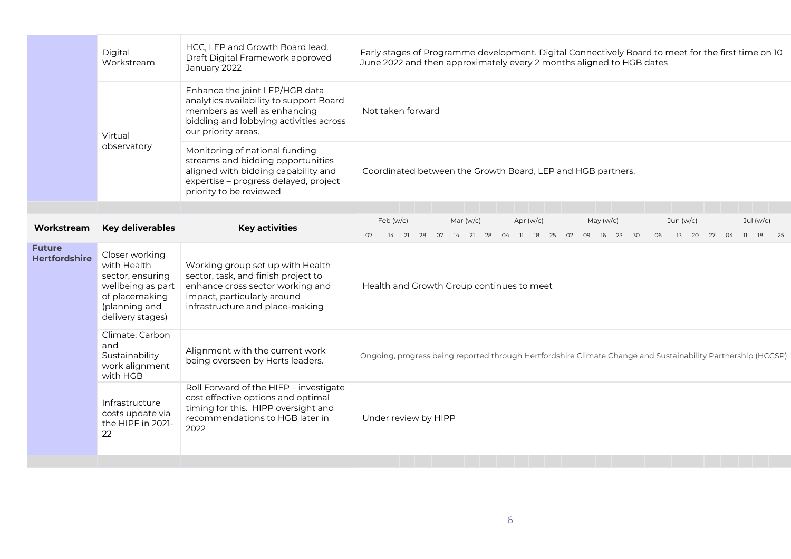|                                       | Digital<br>Workstream                                                                                                         | HCC, LEP and Growth Board lead.<br>Draft Digital Framework approved<br>January 2022                                                                                            | Early stages of Programme development. Digital Connectively Board to meet for the first time on 10<br>June 2022 and then approximately every 2 months aligned to HGB dates                                                |
|---------------------------------------|-------------------------------------------------------------------------------------------------------------------------------|--------------------------------------------------------------------------------------------------------------------------------------------------------------------------------|---------------------------------------------------------------------------------------------------------------------------------------------------------------------------------------------------------------------------|
|                                       | Virtual                                                                                                                       | Enhance the joint LEP/HGB data<br>analytics availability to support Board<br>members as well as enhancing<br>bidding and lobbying activities across<br>our priority areas.     | Not taken forward                                                                                                                                                                                                         |
|                                       | observatory                                                                                                                   | Monitoring of national funding<br>streams and bidding opportunities<br>aligned with bidding capability and<br>expertise - progress delayed, project<br>priority to be reviewed | Coordinated between the Growth Board, LEP and HGB partners.                                                                                                                                                               |
|                                       |                                                                                                                               |                                                                                                                                                                                |                                                                                                                                                                                                                           |
| Workstream                            | <b>Key deliverables</b>                                                                                                       | <b>Key activities</b>                                                                                                                                                          | Feb (w/c)<br>Mar (w/c)<br>Apr $(w/c)$<br>Jul $(w/c)$<br>May $(w/c)$<br>Jun $(w/c)$<br>14  21  28  07  14  21  28  04  11  18  25  02  09<br>23 30<br>06<br>13<br>18<br>25<br>07<br>- 16<br>20 27<br>04<br>$\overline{11}$ |
| <b>Future</b><br><b>Hertfordshire</b> | Closer working<br>with Health<br>sector, ensuring<br>wellbeing as part<br>of placemaking<br>(planning and<br>delivery stages) | Working group set up with Health<br>sector, task, and finish project to<br>enhance cross sector working and<br>impact, particularly around<br>infrastructure and place-making  | Health and Growth Group continues to meet                                                                                                                                                                                 |
|                                       | Climate, Carbon<br>and<br>Sustainability<br>work alignment<br>with HGB                                                        | Alignment with the current work<br>being overseen by Herts leaders.                                                                                                            | Ongoing, progress being reported through Hertfordshire Climate Change and Sustainability Partnership (HCCSP)                                                                                                              |
|                                       | Infrastructure<br>costs update via<br>the HIPF in 2021-<br>22                                                                 | Roll Forward of the HIFP - investigate<br>cost effective options and optimal<br>timing for this. HIPP oversight and<br>recommendations to HGB later in<br>2022                 | Under review by HIPP                                                                                                                                                                                                      |
|                                       |                                                                                                                               |                                                                                                                                                                                |                                                                                                                                                                                                                           |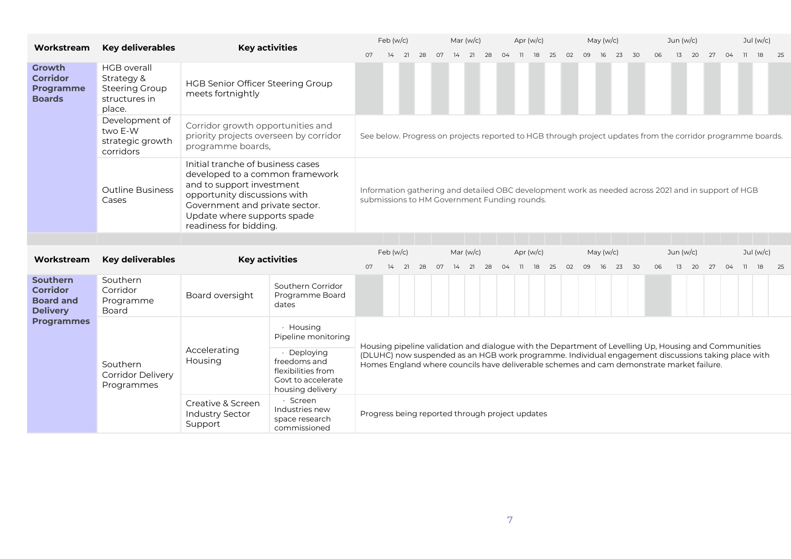| Workstream                                                                | <b>Key deliverables</b>                                                                                                                                                   |                                                                                                  | <b>Key activities</b>                                                                                                                                                                              |                                                                                                                                                                                                  | Feb (w/c)       |    |    |    | Mar $(w/c)$                                                                                                                                         |    |    |    | Apr $(w/c)$         |    |    | May $(w/c)$ |    |                   |    |    | Jun (w/c)                                                                                             |                 |    |    |    |    | Jul $(w/c)$       |    |  |
|---------------------------------------------------------------------------|---------------------------------------------------------------------------------------------------------------------------------------------------------------------------|--------------------------------------------------------------------------------------------------|----------------------------------------------------------------------------------------------------------------------------------------------------------------------------------------------------|--------------------------------------------------------------------------------------------------------------------------------------------------------------------------------------------------|-----------------|----|----|----|-----------------------------------------------------------------------------------------------------------------------------------------------------|----|----|----|---------------------|----|----|-------------|----|-------------------|----|----|-------------------------------------------------------------------------------------------------------|-----------------|----|----|----|----|-------------------|----|--|
|                                                                           |                                                                                                                                                                           |                                                                                                  |                                                                                                                                                                                                    | 07                                                                                                                                                                                               | 14              | 21 | 28 | 07 | 14                                                                                                                                                  | 21 | 28 | 04 | $\overline{11}$     | 18 | 25 | 02          | 09 | 16                | 23 | 30 | 06                                                                                                    | 13              | 20 | 27 | 04 | 11 | 18                | 25 |  |
| <b>Growth</b><br><b>Corridor</b><br><b>Programme</b><br><b>Boards</b>     | <b>HGB</b> overall<br>Strategy &<br><b>Steering Group</b><br>structures in<br>place.                                                                                      | HGB Senior Officer Steering Group<br>meets fortnightly                                           |                                                                                                                                                                                                    |                                                                                                                                                                                                  |                 |    |    |    |                                                                                                                                                     |    |    |    |                     |    |    |             |    |                   |    |    |                                                                                                       |                 |    |    |    |    |                   |    |  |
|                                                                           | Development of<br>two E-W<br>strategic growth<br>corridors                                                                                                                | Corridor growth opportunities and<br>priority projects overseen by corridor<br>programme boards, | See below. Progress on projects reported to HGB through project updates from the corridor programme boards.                                                                                        |                                                                                                                                                                                                  |                 |    |    |    |                                                                                                                                                     |    |    |    |                     |    |    |             |    |                   |    |    |                                                                                                       |                 |    |    |    |    |                   |    |  |
|                                                                           | <b>Outline Business</b><br>Cases                                                                                                                                          | readiness for bidding.                                                                           | Initial tranche of business cases<br>developed to a common framework<br>and to support investment<br>opportunity discussions with<br>Government and private sector.<br>Update where supports spade |                                                                                                                                                                                                  |                 |    |    |    | Information gathering and detailed OBC development work as needed across 2021 and in support of HGB<br>submissions to HM Government Funding rounds. |    |    |    |                     |    |    |             |    |                   |    |    |                                                                                                       |                 |    |    |    |    |                   |    |  |
|                                                                           |                                                                                                                                                                           |                                                                                                  |                                                                                                                                                                                                    |                                                                                                                                                                                                  |                 |    |    |    |                                                                                                                                                     |    |    |    |                     |    |    |             |    |                   |    |    |                                                                                                       |                 |    |    |    |    |                   |    |  |
| Workstream                                                                | <b>Key deliverables</b>                                                                                                                                                   | <b>Key activities</b>                                                                            |                                                                                                                                                                                                    | 07                                                                                                                                                                                               | Feb (w/c)<br>14 | 21 | 28 | 07 | Mar $(w/c)$<br>14                                                                                                                                   | 21 | 28 | 04 | Apr $(w/c)$<br>- 11 | 18 | 25 | 02          | 09 | May $(w/c)$<br>16 | 23 | 30 | 06                                                                                                    | Jun (w/c)<br>13 | 20 | 27 | 04 | 11 | Jul $(w/c)$<br>18 | 25 |  |
| <b>Southern</b><br><b>Corridor</b><br><b>Board and</b><br><b>Delivery</b> | Southern<br>Corridor<br>Programme<br>Board                                                                                                                                | Board oversight                                                                                  | Southern Corridor<br>Programme Board<br>dates                                                                                                                                                      |                                                                                                                                                                                                  |                 |    |    |    |                                                                                                                                                     |    |    |    |                     |    |    |             |    |                   |    |    |                                                                                                       |                 |    |    |    |    |                   |    |  |
| <b>Programmes</b>                                                         |                                                                                                                                                                           |                                                                                                  | · Housing<br>Pipeline monitoring                                                                                                                                                                   |                                                                                                                                                                                                  |                 |    |    |    |                                                                                                                                                     |    |    |    |                     |    |    |             |    |                   |    |    | Housing pipeline validation and dialogue with the Department of Levelling Up, Housing and Communities |                 |    |    |    |    |                   |    |  |
|                                                                           | Southern<br><b>Corridor Delivery</b><br>Programmes                                                                                                                        | Accelerating<br>Housing                                                                          | · Deploying<br>freedoms and<br>flexibilities from<br>Govt to accelerate<br>housing delivery                                                                                                        | (DLUHC) now suspended as an HGB work programme. Individual engagement discussions taking place with<br>Homes England where councils have deliverable schemes and cam demonstrate market failure. |                 |    |    |    |                                                                                                                                                     |    |    |    |                     |    |    |             |    |                   |    |    |                                                                                                       |                 |    |    |    |    |                   |    |  |
|                                                                           | · Screen<br>Creative & Screen<br>Industries new<br><b>Industry Sector</b><br>Progress being reported through project updates<br>space research<br>Support<br>commissioned |                                                                                                  |                                                                                                                                                                                                    |                                                                                                                                                                                                  |                 |    |    |    |                                                                                                                                                     |    |    |    |                     |    |    |             |    |                   |    |    |                                                                                                       |                 |    |    |    |    |                   |    |  |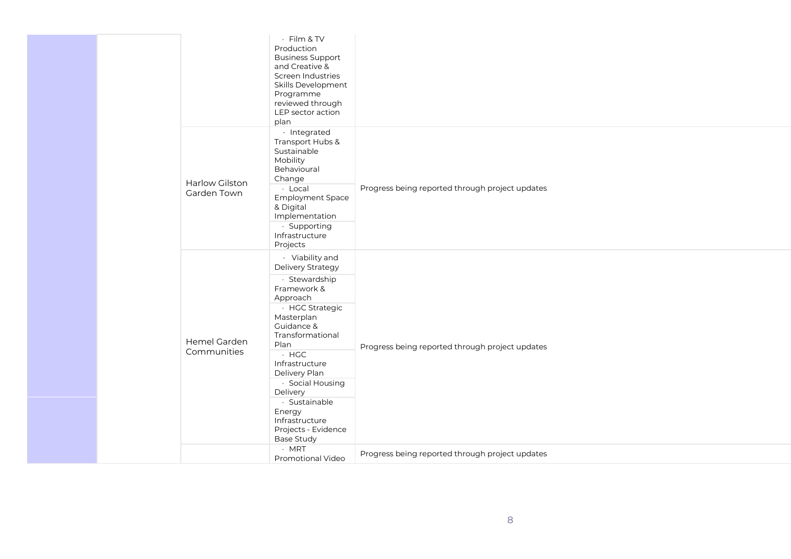|                               | · Film & TV<br>Production<br><b>Business Support</b><br>and Creative &<br>Screen Industries<br>Skills Development<br>Programme<br>reviewed through<br>LEP sector action<br>plan                                                                                                                                                    |                                                 |
|-------------------------------|------------------------------------------------------------------------------------------------------------------------------------------------------------------------------------------------------------------------------------------------------------------------------------------------------------------------------------|-------------------------------------------------|
| Harlow Gilston<br>Garden Town | · Integrated<br>Transport Hubs &<br>Sustainable<br>Mobility<br>Behavioural<br>Change<br>· Local<br>Employment Space<br>& Digital<br>Implementation<br>· Supporting<br>Infrastructure<br>Projects                                                                                                                                   | Progress being reported through project updates |
| Hemel Garden<br>Communities   | · Viability and<br>Delivery Strategy<br>· Stewardship<br>Framework &<br>Approach<br>· HGC Strategic<br>Masterplan<br>Guidance &<br>Transformational<br>Plan<br>$·$ HGC<br>Infrastructure<br>Delivery Plan<br>· Social Housing<br>Delivery<br>· Sustainable<br>Energy<br>Infrastructure<br>Projects - Evidence<br><b>Base Study</b> | Progress being reported through project updates |
|                               | $·$ MRT<br><b>Promotional Video</b>                                                                                                                                                                                                                                                                                                | Progress being reported through project updates |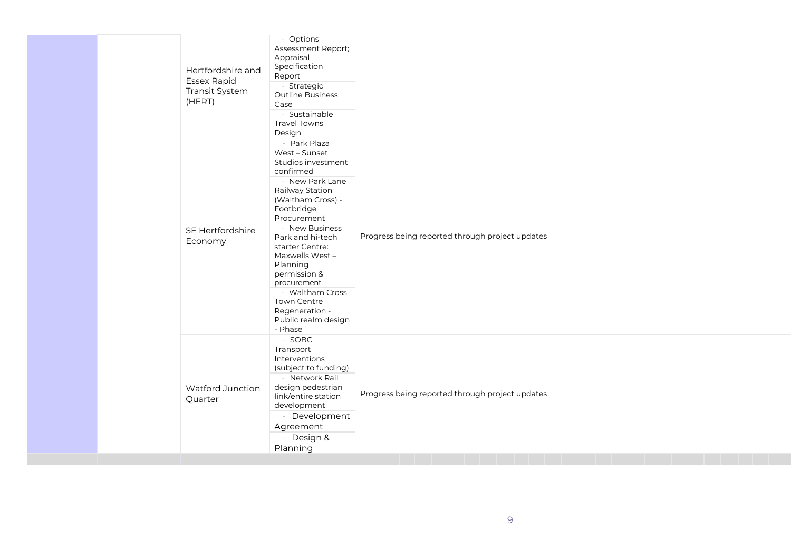| Hertfordshire and<br><b>Essex Rapid</b><br>Transit System<br>(HERT) | · Options<br>Assessment Report;<br>Appraisal<br>Specification<br>Report<br>· Strategic<br>Outline Business<br>Case<br>· Sustainable<br><b>Travel Towns</b><br>Design                                                                                                                                                                                                   |                                                 |
|---------------------------------------------------------------------|------------------------------------------------------------------------------------------------------------------------------------------------------------------------------------------------------------------------------------------------------------------------------------------------------------------------------------------------------------------------|-------------------------------------------------|
| SE Hertfordshire<br>Economy                                         | · Park Plaza<br>West - Sunset<br>Studios investment<br>confirmed<br>· New Park Lane<br>Railway Station<br>(Waltham Cross) -<br>Footbridge<br>Procurement<br>· New Business<br>Park and hi-tech<br>starter Centre:<br>Maxwells West-<br>Planning<br>permission &<br>procurement<br>· Waltham Cross<br>Town Centre<br>Regeneration -<br>Public realm design<br>- Phase 1 | Progress being reported through project updates |
| <b>Watford Junction</b><br>Quarter                                  | $\cdot$ SOBC<br>Transport<br>Interventions<br>(subject to funding)<br>· Network Rail<br>design pedestrian<br>link/entire station<br>development<br>· Development<br>Agreement<br>· Design &<br>Planning                                                                                                                                                                | Progress being reported through project updates |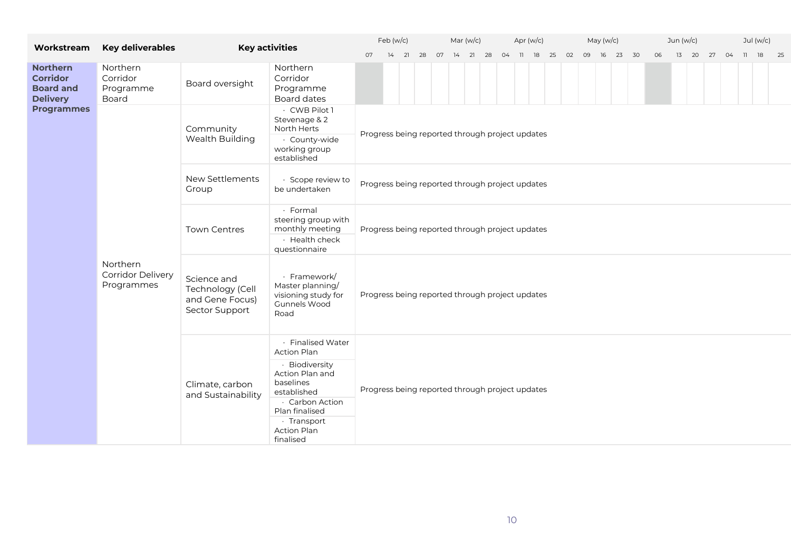| Workstream                                                                                             | <b>Key deliverables</b>                                                                                                                              |                                                                      | <b>Key activities</b>                                                                            |                                                 | Feb (w/c) | Mar (w/c) |  |                                                 |  |  |  | Apr $(w/c)$ |  |  | May $(w/c)$ |  | Jun (w/c)                                          |  |          |    |    |  | Jul (w/c) |                   |  |  |  |
|--------------------------------------------------------------------------------------------------------|------------------------------------------------------------------------------------------------------------------------------------------------------|----------------------------------------------------------------------|--------------------------------------------------------------------------------------------------|-------------------------------------------------|-----------|-----------|--|-------------------------------------------------|--|--|--|-------------|--|--|-------------|--|----------------------------------------------------|--|----------|----|----|--|-----------|-------------------|--|--|--|
|                                                                                                        |                                                                                                                                                      |                                                                      |                                                                                                  | 07                                              |           |           |  |                                                 |  |  |  |             |  |  |             |  | 14  21  28  07  14  21  28  04  11  18  25  02  09 |  | 16 23 30 | 06 | 13 |  |           | 20 27 04 11 18 25 |  |  |  |
| <b>Northern</b><br><b>Corridor</b><br><b>Board and</b><br><b>Delivery</b>                              | Northern<br>Corridor<br>Programme<br>Board                                                                                                           | Board oversight                                                      | Northern<br>Corridor<br>Programme<br>Board dates                                                 |                                                 |           |           |  |                                                 |  |  |  |             |  |  |             |  |                                                    |  |          |    |    |  |           |                   |  |  |  |
| <b>Programmes</b>                                                                                      |                                                                                                                                                      | Community                                                            | · CWB Pilot 1<br>Stevenage & 2<br>North Herts                                                    |                                                 |           |           |  |                                                 |  |  |  |             |  |  |             |  |                                                    |  |          |    |    |  |           |                   |  |  |  |
|                                                                                                        |                                                                                                                                                      | Wealth Building                                                      | · County-wide<br>working group<br>established                                                    | Progress being reported through project updates |           |           |  |                                                 |  |  |  |             |  |  |             |  |                                                    |  |          |    |    |  |           |                   |  |  |  |
|                                                                                                        |                                                                                                                                                      | New Settlements<br>Group                                             | · Scope review to<br>be undertaken                                                               | Progress being reported through project updates |           |           |  |                                                 |  |  |  |             |  |  |             |  |                                                    |  |          |    |    |  |           |                   |  |  |  |
|                                                                                                        | · Formal<br>steering group with<br>monthly meeting<br><b>Town Centres</b><br>Progress being reported through project updates<br>$\cdot$ Health check |                                                                      |                                                                                                  |                                                 |           |           |  |                                                 |  |  |  |             |  |  |             |  |                                                    |  |          |    |    |  |           |                   |  |  |  |
|                                                                                                        | Northern<br><b>Corridor Delivery</b><br>Programmes                                                                                                   | Science and<br>Technology (Cell<br>and Gene Focus)<br>Sector Support | questionnaire<br>· Framework/<br>Master planning/<br>visioning study for<br>Gunnels Wood<br>Road | Progress being reported through project updates |           |           |  |                                                 |  |  |  |             |  |  |             |  |                                                    |  |          |    |    |  |           |                   |  |  |  |
|                                                                                                        |                                                                                                                                                      |                                                                      | · Finalised Water<br>Action Plan<br>· Biodiversity<br>Action Plan and                            |                                                 |           |           |  |                                                 |  |  |  |             |  |  |             |  |                                                    |  |          |    |    |  |           |                   |  |  |  |
| baselines<br>Climate, carbon<br>established<br>and Sustainability<br>· Carbon Action<br>Plan finalised |                                                                                                                                                      |                                                                      |                                                                                                  |                                                 |           |           |  | Progress being reported through project updates |  |  |  |             |  |  |             |  |                                                    |  |          |    |    |  |           |                   |  |  |  |
|                                                                                                        |                                                                                                                                                      |                                                                      | · Transport<br>Action Plan<br>finalised                                                          |                                                 |           |           |  |                                                 |  |  |  |             |  |  |             |  |                                                    |  |          |    |    |  |           |                   |  |  |  |